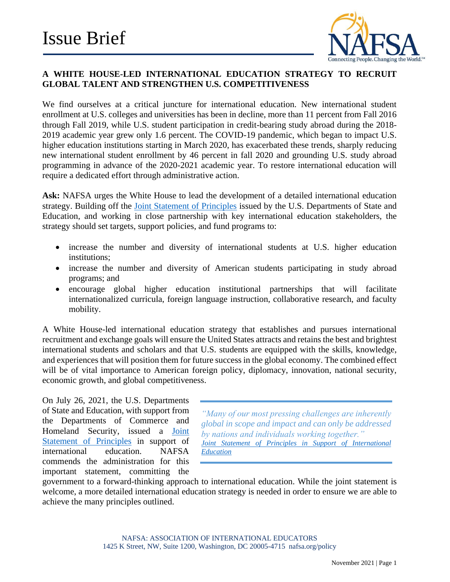

# **A WHITE HOUSE-LED INTERNATIONAL EDUCATION STRATEGY TO RECRUIT GLOBAL TALENT AND STRENGTHEN U.S. COMPETITIVENESS**

We find ourselves at a critical juncture for international education. New international student enrollment at U.S. colleges and universities has been in decline, more than 11 percent from Fall 2016 through Fall 2019, while U.S. student participation in credit-bearing study abroad during the 2018- 2019 academic year grew only 1.6 percent. The COVID-19 pandemic, which began to impact U.S. higher education institutions starting in March 2020, has exacerbated these trends, sharply reducing new international student enrollment by 46 percent in fall 2020 and grounding U.S. study abroad programming in advance of the 2020-2021 academic year. To restore international education will require a dedicated effort through administrative action.

**Ask:** NAFSA urges the White House to lead the development of a detailed international education strategy. Building off the [Joint Statement of Principles](https://educationusa.state.gov/us-higher-education-professionals/us-government-resources-and-guidance/joint-statement) issued by the U.S. Departments of State and Education, and working in close partnership with key international education stakeholders, the strategy should set targets, support policies, and fund programs to:

- increase the number and diversity of international students at U.S. higher education institutions;
- increase the number and diversity of American students participating in study abroad programs; and
- encourage global higher education institutional partnerships that will facilitate internationalized curricula, foreign language instruction, collaborative research, and faculty mobility.

A White House-led international education strategy that establishes and pursues international recruitment and exchange goals will ensure the United States attracts and retains the best and brightest international students and scholars and that U.S. students are equipped with the skills, knowledge, and experiences that will position them for future success in the global economy. The combined effect will be of vital importance to American foreign policy, diplomacy, innovation, national security, economic growth, and global competitiveness.

On July 26, 2021, the U.S. Departments of State and Education, with support from the Departments of Commerce and Homeland Security, issued a [Joint](https://educationusa.state.gov/us-higher-education-professionals/us-government-resources-and-guidance/joint-statement)  [Statement of Principles](https://educationusa.state.gov/us-higher-education-professionals/us-government-resources-and-guidance/joint-statement) in support of international education. NAFSA commends the administration for this important statement, committing the

*"Many of our most pressing challenges are inherently global in scope and impact and can only be addressed by nations and individuals working together." [Joint Statement of Principles in Support of International](https://educationusa.state.gov/sites/default/files/intl_ed_joint_statement.pdf)  [Education](https://educationusa.state.gov/sites/default/files/intl_ed_joint_statement.pdf)*

government to a forward-thinking approach to international education. While the joint statement is welcome, a more detailed international education strategy is needed in order to ensure we are able to achieve the many principles outlined.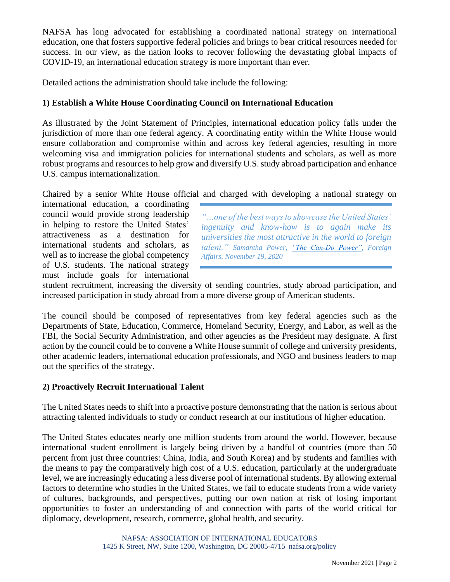NAFSA has long advocated for establishing a coordinated national strategy on international education, one that fosters supportive federal policies and brings to bear critical resources needed for success. In our view, as the nation looks to recover following the devastating global impacts of COVID-19, an international education strategy is more important than ever.

Detailed actions the administration should take include the following:

### **1) Establish a White House Coordinating Council on International Education**

As illustrated by the Joint Statement of Principles, international education policy falls under the jurisdiction of more than one federal agency. A coordinating entity within the White House would ensure collaboration and compromise within and across key federal agencies, resulting in more welcoming visa and immigration policies for international students and scholars, as well as more robust programs and resources to help grow and diversify U.S. study abroad participation and enhance U.S. campus internationalization.

Chaired by a senior White House official and charged with developing a national strategy on

international education, a coordinating council would provide strong leadership in helping to restore the United States' attractiveness as a destination for international students and scholars, as well as to increase the global competency of U.S. students. The national strategy must include goals for international

*"…one of the best ways to showcase the United States' ingenuity and know-how is to again make its universities the most attractive in the world to foreign talent." Samantha Power, ["The Can-Do Power",](https://www.foreignaffairs.com/articles/united-states/2020-11-20/samantha-power-can-do-power) Foreign Affairs, November 19, 2020*

student recruitment, increasing the diversity of sending countries, study abroad participation, and increased participation in study abroad from a more diverse group of American students.

The council should be composed of representatives from key federal agencies such as the Departments of State, Education, Commerce, Homeland Security, Energy, and Labor, as well as the FBI, the Social Security Administration, and other agencies as the President may designate. A first action by the council could be to convene a White House summit of college and university presidents, other academic leaders, international education professionals, and NGO and business leaders to map out the specifics of the strategy.

#### **2) Proactively Recruit International Talent**

The United States needs to shift into a proactive posture demonstrating that the nation is serious about attracting talented individuals to study or conduct research at our institutions of higher education.

The United States educates nearly one million students from around the world. However, because international student enrollment is largely being driven by a handful of countries (more than 50 percent from just three countries: China, India, and South Korea) and by students and families with the means to pay the comparatively high cost of a U.S. education, particularly at the undergraduate level, we are increasingly educating a less diverse pool of international students. By allowing external factors to determine who studies in the United States, we fail to educate students from a wide variety of cultures, backgrounds, and perspectives, putting our own nation at risk of losing important opportunities to foster an understanding of and connection with parts of the world critical for diplomacy, development, research, commerce, global health, and security.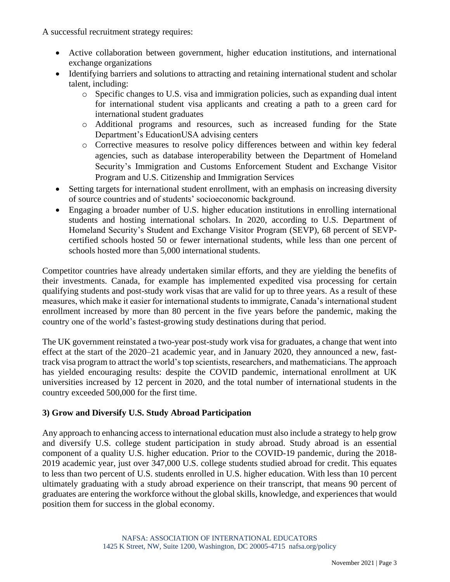A successful recruitment strategy requires:

- Active collaboration between government, higher education institutions, and international exchange organizations
- Identifying barriers and solutions to attracting and retaining international student and scholar talent, including:
	- o Specific changes to U.S. visa and immigration policies, such as expanding dual intent for international student visa applicants and creating a path to a green card for international student graduates
	- o Additional programs and resources, such as increased funding for the State Department's EducationUSA advising centers
	- o Corrective measures to resolve policy differences between and within key federal agencies, such as database interoperability between the Department of Homeland Security's Immigration and Customs Enforcement Student and Exchange Visitor Program and U.S. Citizenship and Immigration Services
- Setting targets for international student enrollment, with an emphasis on increasing diversity of source countries and of students' socioeconomic background.
- Engaging a broader number of U.S. higher education institutions in enrolling international students and hosting international scholars. In 2020, according to U.S. Department of Homeland Security's Student and Exchange Visitor Program (SEVP), 68 percent of SEVPcertified schools hosted 50 or fewer international students, while less than one percent of schools hosted more than 5,000 international students.

Competitor countries have already undertaken similar efforts, and they are yielding the benefits of their investments. Canada, for example has implemented expedited visa processing for certain qualifying students and post-study work visas that are valid for up to three years. As a result of these measures, which make it easier for international students to immigrate, Canada's international student enrollment increased by more than 80 percent in the five years before the pandemic, making the country one of the world's fastest-growing study destinations during that period.

The UK government reinstated a two-year post-study work visa for graduates, a change that went into effect at the start of the 2020–21 academic year, and in January 2020, they announced a new, fasttrack visa program to attract the world's top scientists, researchers, and mathematicians. The approach has yielded encouraging results: despite the COVID pandemic, international enrollment at UK universities increased by 12 percent in 2020, and the total number of international students in the country exceeded 500,000 for the first time.

## **3) Grow and Diversify U.S. Study Abroad Participation**

Any approach to enhancing access to international education must also include a strategy to help grow and diversify U.S. college student participation in study abroad. Study abroad is an essential component of a quality U.S. higher education. Prior to the COVID-19 pandemic, during the 2018- 2019 academic year, just over 347,000 U.S. college students studied abroad for credit. This equates to less than two percent of U.S. students enrolled in U.S. higher education. With less than 10 percent ultimately graduating with a study abroad experience on their transcript, that means 90 percent of graduates are entering the workforce without the global skills, knowledge, and experiences that would position them for success in the global economy.